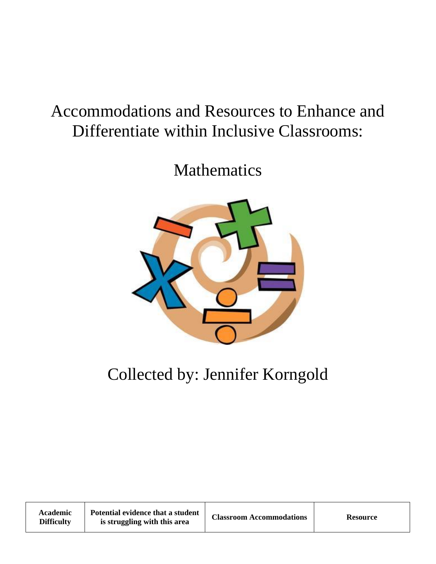## Accommodations and Resources to Enhance and Differentiate within Inclusive Classrooms:

Mathematics



## Collected by: Jennifer Korngold

| Academic<br><b>Difficulty</b> | Potential evidence that a student<br>is struggling with this area | <b>Classroom Accommodations</b> | <b>Resource</b> |
|-------------------------------|-------------------------------------------------------------------|---------------------------------|-----------------|
|-------------------------------|-------------------------------------------------------------------|---------------------------------|-----------------|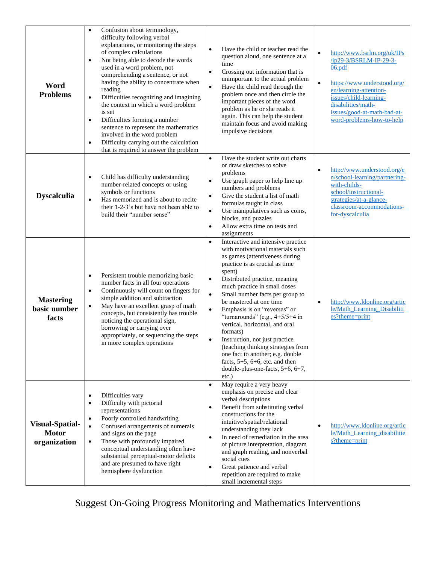| Word<br><b>Problems</b>                                | Confusion about terminology,<br>$\bullet$<br>difficulty following verbal<br>explanations, or monitoring the steps<br>of complex calculations<br>Not being able to decode the words<br>$\bullet$<br>used in a word problem, not<br>comprehending a sentence, or not<br>having the ability to concentrate when<br>reading<br>Difficulties recognizing and imagining<br>$\bullet$<br>the context in which a word problem<br>is set<br>Difficulties forming a number<br>$\bullet$<br>sentence to represent the mathematics<br>involved in the word problem<br>Difficulty carrying out the calculation<br>$\bullet$<br>that is required to answer the problem | Have the child or teacher read the<br>$\bullet$<br>question aloud, one sentence at a<br>time<br>Crossing out information that is<br>$\bullet$<br>unimportant to the actual problem<br>Have the child read through the<br>$\bullet$<br>problem once and then circle the<br>important pieces of the word<br>problem as he or she reads it<br>again. This can help the student<br>maintain focus and avoid making<br>impulsive decisions                                                                                                                                                                                                                                       | http://www.bsrlm.org/uk/IPs<br>/ip29-3/BSRLM-IP-29-3-<br>06.pdf<br>https://www.understood.org/<br>en/learning-attention-<br>issues/child-learning-<br>disabilities/math-<br>issues/good-at-math-bad-at-<br>word-problems-how-to-help |
|--------------------------------------------------------|----------------------------------------------------------------------------------------------------------------------------------------------------------------------------------------------------------------------------------------------------------------------------------------------------------------------------------------------------------------------------------------------------------------------------------------------------------------------------------------------------------------------------------------------------------------------------------------------------------------------------------------------------------|-----------------------------------------------------------------------------------------------------------------------------------------------------------------------------------------------------------------------------------------------------------------------------------------------------------------------------------------------------------------------------------------------------------------------------------------------------------------------------------------------------------------------------------------------------------------------------------------------------------------------------------------------------------------------------|--------------------------------------------------------------------------------------------------------------------------------------------------------------------------------------------------------------------------------------|
| <b>Dyscalculia</b>                                     | Child has difficulty understanding<br>$\bullet$<br>number-related concepts or using<br>symbols or functions<br>Has memorized and is about to recite<br>$\bullet$<br>their 1-2-3's but have not been able to<br>build their "number sense"                                                                                                                                                                                                                                                                                                                                                                                                                | Have the student write out charts<br>$\bullet$<br>or draw sketches to solve<br>problems<br>Use graph paper to help line up<br>$\bullet$<br>numbers and problems<br>Give the student a list of math<br>$\bullet$<br>formulas taught in class<br>Use manipulatives such as coins,<br>$\bullet$<br>blocks, and puzzles<br>Allow extra time on tests and<br>$\bullet$<br>assignments                                                                                                                                                                                                                                                                                            | http://www.understood.org/e<br>$\bullet$<br>n/school-learning/partnering-<br>with-childs-<br>school/instructional-<br>strategies/at-a-glance-<br>classroom-accommodations-<br>for-dyscalculia                                        |
| <b>Mastering</b><br>basic number<br>facts              | Persistent trouble memorizing basic<br>$\bullet$<br>number facts in all four operations<br>Continuously will count on fingers for<br>$\bullet$<br>simple addition and subtraction<br>May have an excellent grasp of math<br>$\bullet$<br>concepts, but consistently has trouble<br>noticing the operational sign,<br>borrowing or carrying over<br>appropriately, or sequencing the steps<br>in more complex operations                                                                                                                                                                                                                                  | Interactive and intensive practice<br>$\bullet$<br>with motivational materials such<br>as games (attentiveness during<br>practice is as crucial as time<br>spent)<br>Distributed practice, meaning<br>$\bullet$<br>much practice in small doses<br>$\bullet$<br>Small number facts per group to<br>be mastered at one time<br>Emphasis is on "reverses" or<br>$\bullet$<br>"turnarounds" (e.g., $4+5/5+4$ in<br>vertical, horizontal, and oral<br>formats)<br>Instruction, not just practice<br>$\bullet$<br>(teaching thinking strategies from<br>one fact to another; e.g. double<br>facts, $5+5$ , $6+6$ , etc. and then<br>double-plus-one-facts, 5+6, 6+7,<br>$etc.$ ) | http://www.ldonline.org/artic<br>$\bullet$<br>le/Math_Learning_Disabiliti<br>es?theme=print                                                                                                                                          |
| <b>Visual-Spatial-</b><br><b>Motor</b><br>organization | Difficulties vary<br>$\bullet$<br>Difficulty with pictorial<br>$\bullet$<br>representations<br>Poorly controlled handwriting<br>Confused arrangements of numerals<br>$\bullet$<br>and signs on the page<br>Those with profoundly impaired<br>$\bullet$<br>conceptual understanding often have<br>substantial perceptual-motor deficits<br>and are presumed to have right<br>hemisphere dysfunction                                                                                                                                                                                                                                                       | May require a very heavy<br>$\bullet$<br>emphasis on precise and clear<br>verbal descriptions<br>Benefit from substituting verbal<br>$\bullet$<br>constructions for the<br>intuitive/spatial/relational<br>understanding they lack<br>In need of remediation in the area<br>$\bullet$<br>of picture interpretation, diagram<br>and graph reading, and nonverbal<br>social cues<br>Great patience and verbal<br>$\bullet$<br>repetition are required to make<br>small incremental steps                                                                                                                                                                                      | http://www.ldonline.org/artic<br>le/Math_Learning_disabilitie<br>s?theme=print                                                                                                                                                       |

Suggest On-Going Progress Monitoring and Mathematics Interventions